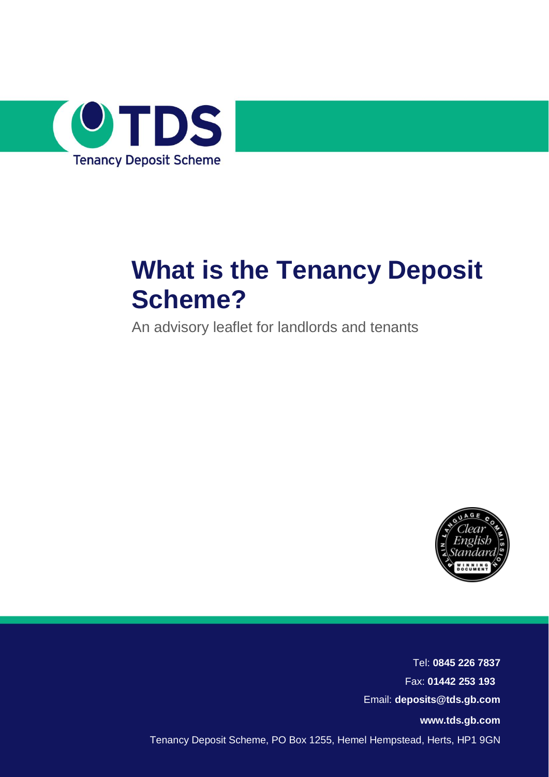

# **What is the Tenancy Deposit Scheme?**

An advisory leaflet for landlords and tenants



Tel: **0845 226 7837** Fax: **01442 253 193** Email: **deposits@tds.gb.com [www.tds.gb.com](http://www.tds.gb.com/)** Tenancy Deposit Scheme, PO Box 1255, Hemel Hempstead, Herts, HP1 9GN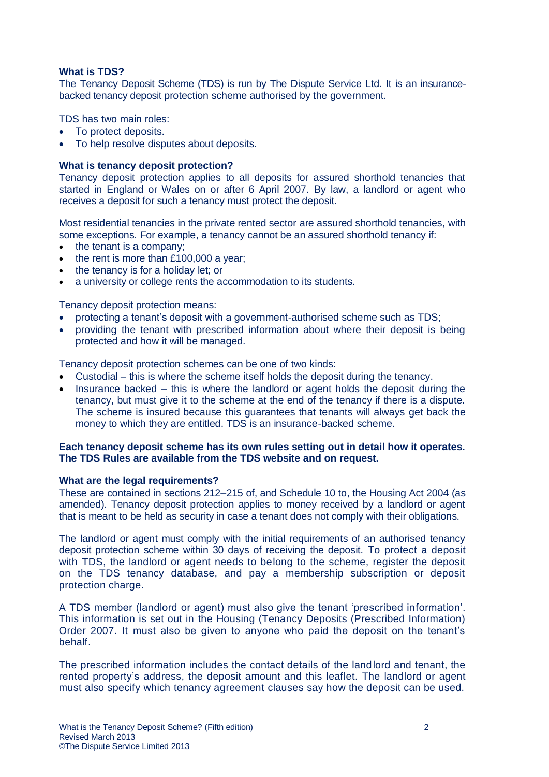# **What is TDS?**

The Tenancy Deposit Scheme (TDS) is run by The Dispute Service Ltd. It is an insurancebacked tenancy deposit protection scheme authorised by the government.

TDS has two main roles:

- To protect deposits.
- To help resolve disputes about deposits.

## **What is tenancy deposit protection?**

Tenancy deposit protection applies to all deposits for assured shorthold tenancies that started in England or Wales on or after 6 April 2007. By law, a landlord or agent who receives a deposit for such a tenancy must protect the deposit.

Most residential tenancies in the private rented sector are assured shorthold tenancies, with some exceptions. For example, a tenancy cannot be an assured shorthold tenancy if:

- $\bullet$  the tenant is a company;
- $\cdot$  the rent is more than £100,000 a year:
- the tenancy is for a holiday let; or
- a university or college rents the accommodation to its students.

Tenancy deposit protection means:

- protecting a tenant's deposit with a government-authorised scheme such as TDS;
- providing the tenant with prescribed information about where their deposit is being protected and how it will be managed.

Tenancy deposit protection schemes can be one of two kinds:

- Custodial this is where the scheme itself holds the deposit during the tenancy.
- Insurance backed this is where the landlord or agent holds the deposit during the tenancy, but must give it to the scheme at the end of the tenancy if there is a dispute. The scheme is insured because this guarantees that tenants will always get back the money to which they are entitled. TDS is an insurance-backed scheme.

# **Each tenancy deposit scheme has its own rules setting out in detail how it operates. The TDS Rules are available from the TDS website and on request.**

## **What are the legal requirements?**

These are contained in sections 212–215 of, and Schedule 10 to, the Housing Act 2004 (as amended). Tenancy deposit protection applies to money received by a landlord or agent that is meant to be held as security in case a tenant does not comply with their obligations.

The landlord or agent must comply with the initial requirements of an authorised tenancy deposit protection scheme within 30 days of receiving the deposit. To protect a deposit with TDS, the landlord or agent needs to belong to the scheme, register the deposit on the TDS tenancy database, and pay a membership subscription or deposit protection charge.

A TDS member (landlord or agent) must also give the tenant 'prescribed information'. This information is set out in the Housing (Tenancy Deposits (Prescribed Information) Order 2007. It must also be given to anyone who paid the deposit on the tenant's behalf.

The prescribed information includes the contact details of the landlord and tenant, the rented property's address, the deposit amount and this leaflet. The landlord or agent must also specify which tenancy agreement clauses say how the deposit can be used.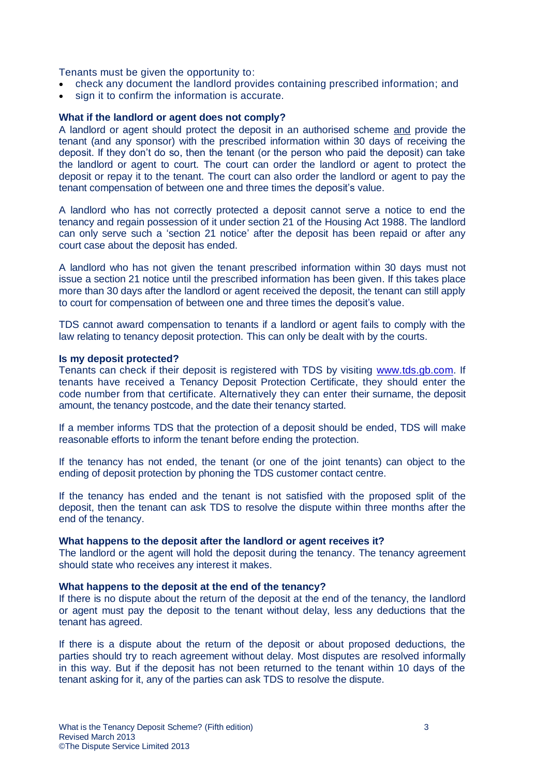Tenants must be given the opportunity to:

- check any document the landlord provides containing prescribed information; and
- sign it to confirm the information is accurate.

## **What if the landlord or agent does not comply?**

A landlord or agent should protect the deposit in an authorised scheme and provide the tenant (and any sponsor) with the prescribed information within 30 days of receiving the deposit. If they don't do so, then the tenant (or the person who paid the deposit) can take the landlord or agent to court. The court can order the landlord or agent to protect the deposit or repay it to the tenant. The court can also order the landlord or agent to pay the tenant compensation of between one and three times the deposit's value.

A landlord who has not correctly protected a deposit cannot serve a notice to end the tenancy and regain possession of it under section 21 of the Housing Act 1988. The landlord can only serve such a 'section 21 notice' after the deposit has been repaid or after any court case about the deposit has ended.

A landlord who has not given the tenant prescribed information within 30 days must not issue a section 21 notice until the prescribed information has been given. If this takes place more than 30 days after the landlord or agent received the deposit, the tenant can still apply to court for compensation of between one and three times the deposit's value.

TDS cannot award compensation to tenants if a landlord or agent fails to comply with the law relating to tenancy deposit protection. This can only be dealt with by the courts.

## **Is my deposit protected?**

Tenants can check if their deposit is registered with TDS by visiting [www.tds.gb.com.](http://www.tds.gb.com/) If tenants have received a Tenancy Deposit Protection Certificate, they should enter the code number from that certificate. Alternatively they can enter their surname, the deposit amount, the tenancy postcode, and the date their tenancy started.

If a member informs TDS that the protection of a deposit should be ended, TDS will make reasonable efforts to inform the tenant before ending the protection.

If the tenancy has not ended, the tenant (or one of the joint tenants) can object to the ending of deposit protection by phoning the TDS customer contact centre.

If the tenancy has ended and the tenant is not satisfied with the proposed split of the deposit, then the tenant can ask TDS to resolve the dispute within three months after the end of the tenancy.

## **What happens to the deposit after the landlord or agent receives it?**

The landlord or the agent will hold the deposit during the tenancy. The tenancy agreement should state who receives any interest it makes.

## **What happens to the deposit at the end of the tenancy?**

If there is no dispute about the return of the deposit at the end of the tenancy, the landlord or agent must pay the deposit to the tenant without delay, less any deductions that the tenant has agreed.

If there is a dispute about the return of the deposit or about proposed deductions, the parties should try to reach agreement without delay. Most disputes are resolved informally in this way. But if the deposit has not been returned to the tenant within 10 days of the tenant asking for it, any of the parties can ask TDS to resolve the dispute.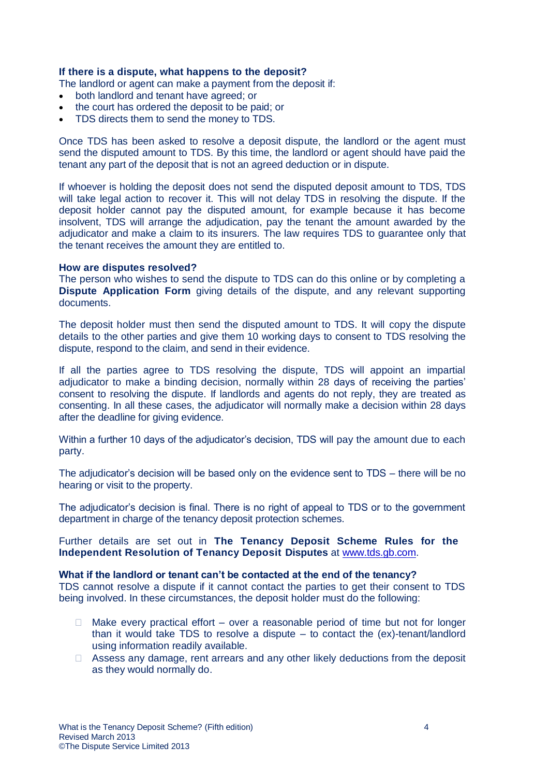# **If there is a dispute, what happens to the deposit?**

The landlord or agent can make a payment from the deposit if:

- both landlord and tenant have agreed; or
- the court has ordered the deposit to be paid; or
- TDS directs them to send the money to TDS.

Once TDS has been asked to resolve a deposit dispute, the landlord or the agent must send the disputed amount to TDS. By this time, the landlord or agent should have paid the tenant any part of the deposit that is not an agreed deduction or in dispute.

If whoever is holding the deposit does not send the disputed deposit amount to TDS, TDS will take legal action to recover it. This will not delay TDS in resolving the dispute. If the deposit holder cannot pay the disputed amount, for example because it has become insolvent, TDS will arrange the adjudication, pay the tenant the amount awarded by the adjudicator and make a claim to its insurers. The law requires TDS to guarantee only that the tenant receives the amount they are entitled to.

#### **How are disputes resolved?**

The person who wishes to send the dispute to TDS can do this online or by completing a **Dispute Application Form** giving details of the dispute, and any relevant supporting documents.

The deposit holder must then send the disputed amount to TDS. It will copy the dispute details to the other parties and give them 10 working days to consent to TDS resolving the dispute, respond to the claim, and send in their evidence.

If all the parties agree to TDS resolving the dispute, TDS will appoint an impartial adjudicator to make a binding decision, normally within 28 days of receiving the parties' consent to resolving the dispute. If landlords and agents do not reply, they are treated as consenting. In all these cases, the adjudicator will normally make a decision within 28 days after the deadline for giving evidence.

Within a further 10 days of the adjudicator's decision, TDS will pay the amount due to each party.

The adjudicator's decision will be based only on the evidence sent to TDS – there will be no hearing or visit to the property.

The adjudicator's decision is final. There is no right of appeal to TDS or to the government department in charge of the tenancy deposit protection schemes.

Further details are set out in **The Tenancy Deposit Scheme Rules for the Independent Resolution of Tenancy Deposit Disputes** at [www.tds.gb.com.](http://www.tds.gb.com/)

#### **What if the landlord or tenant can't be contacted at the end of the tenancy?**

TDS cannot resolve a dispute if it cannot contact the parties to get their consent to TDS being involved. In these circumstances, the deposit holder must do the following:

- $\Box$  Make every practical effort over a reasonable period of time but not for longer than it would take TDS to resolve a dispute – to contact the (ex)-tenant/landlord using information readily available.
- $\Box$  Assess any damage, rent arrears and any other likely deductions from the deposit as they would normally do.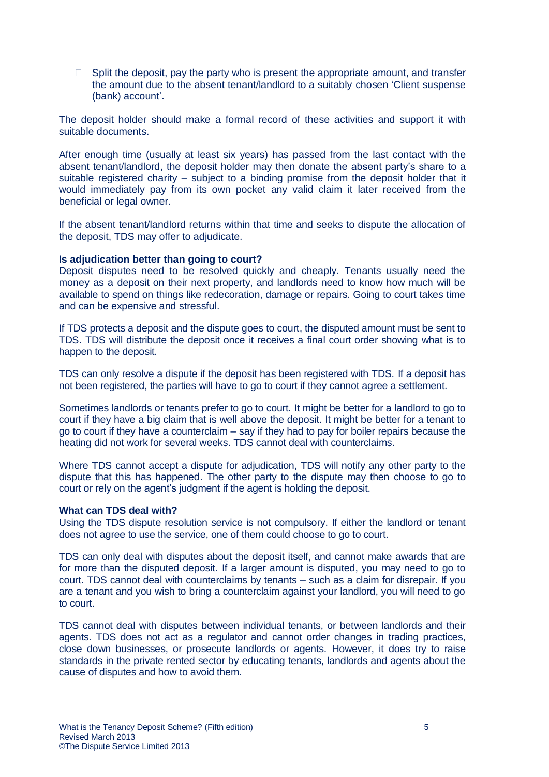$\Box$  Split the deposit, pay the party who is present the appropriate amount, and transfer the amount due to the absent tenant/landlord to a suitably chosen 'Client suspense (bank) account'.

The deposit holder should make a formal record of these activities and support it with suitable documents.

After enough time (usually at least six years) has passed from the last contact with the absent tenant/landlord, the deposit holder may then donate the absent party's share to a suitable registered charity – subject to a binding promise from the deposit holder that it would immediately pay from its own pocket any valid claim it later received from the beneficial or legal owner.

If the absent tenant/landlord returns within that time and seeks to dispute the allocation of the deposit, TDS may offer to adjudicate.

## **Is adjudication better than going to court?**

Deposit disputes need to be resolved quickly and cheaply. Tenants usually need the money as a deposit on their next property, and landlords need to know how much will be available to spend on things like redecoration, damage or repairs. Going to court takes time and can be expensive and stressful.

If TDS protects a deposit and the dispute goes to court, the disputed amount must be sent to TDS. TDS will distribute the deposit once it receives a final court order showing what is to happen to the deposit.

TDS can only resolve a dispute if the deposit has been registered with TDS. If a deposit has not been registered, the parties will have to go to court if they cannot agree a settlement.

Sometimes landlords or tenants prefer to go to court. It might be better for a landlord to go to court if they have a big claim that is well above the deposit. It might be better for a tenant to go to court if they have a counterclaim – say if they had to pay for boiler repairs because the heating did not work for several weeks. TDS cannot deal with counterclaims.

Where TDS cannot accept a dispute for adjudication, TDS will notify any other party to the dispute that this has happened. The other party to the dispute may then choose to go to court or rely on the agent's judgment if the agent is holding the deposit.

## **What can TDS deal with?**

Using the TDS dispute resolution service is not compulsory. If either the landlord or tenant does not agree to use the service, one of them could choose to go to court.

TDS can only deal with disputes about the deposit itself, and cannot make awards that are for more than the disputed deposit. If a larger amount is disputed, you may need to go to court. TDS cannot deal with counterclaims by tenants – such as a claim for disrepair. If you are a tenant and you wish to bring a counterclaim against your landlord, you will need to go to court.

TDS cannot deal with disputes between individual tenants, or between landlords and their agents. TDS does not act as a regulator and cannot order changes in trading practices, close down businesses, or prosecute landlords or agents. However, it does try to raise standards in the private rented sector by educating tenants, landlords and agents about the cause of disputes and how to avoid them.